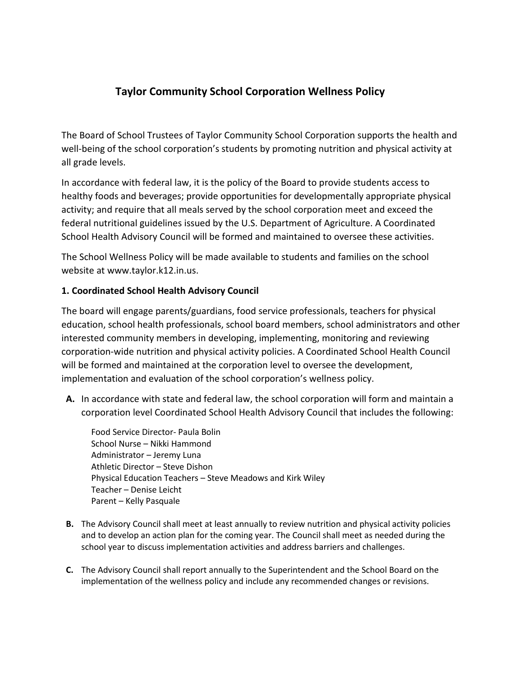# **Taylor Community School Corporation Wellness Policy**

The Board of School Trustees of Taylor Community School Corporation supports the health and well-being of the school corporation's students by promoting nutrition and physical activity at all grade levels.

In accordance with federal law, it is the policy of the Board to provide students access to healthy foods and beverages; provide opportunities for developmentally appropriate physical activity; and require that all meals served by the school corporation meet and exceed the federal nutritional guidelines issued by the U.S. Department of Agriculture. A Coordinated School Health Advisory Council will be formed and maintained to oversee these activities.

The School Wellness Policy will be made available to students and families on the school website at www.taylor.k12.in.us.

#### **1. Coordinated School Health Advisory Council**

The board will engage parents/guardians, food service professionals, teachers for physical education, school health professionals, school board members, school administrators and other interested community members in developing, implementing, monitoring and reviewing corporation-wide nutrition and physical activity policies. A Coordinated School Health Council will be formed and maintained at the corporation level to oversee the development, implementation and evaluation of the school corporation's wellness policy.

**A.** In accordance with state and federal law, the school corporation will form and maintain a corporation level Coordinated School Health Advisory Council that includes the following:

 Food Service Director- Paula Bolin School Nurse – Nikki Hammond Administrator – Jeremy Luna Athletic Director – Steve Dishon Physical Education Teachers – Steve Meadows and Kirk Wiley Teacher – Denise Leicht Parent – Kelly Pasquale

- **B.** The Advisory Council shall meet at least annually to review nutrition and physical activity policies and to develop an action plan for the coming year. The Council shall meet as needed during the school year to discuss implementation activities and address barriers and challenges.
- **C.** The Advisory Council shall report annually to the Superintendent and the School Board on the implementation of the wellness policy and include any recommended changes or revisions.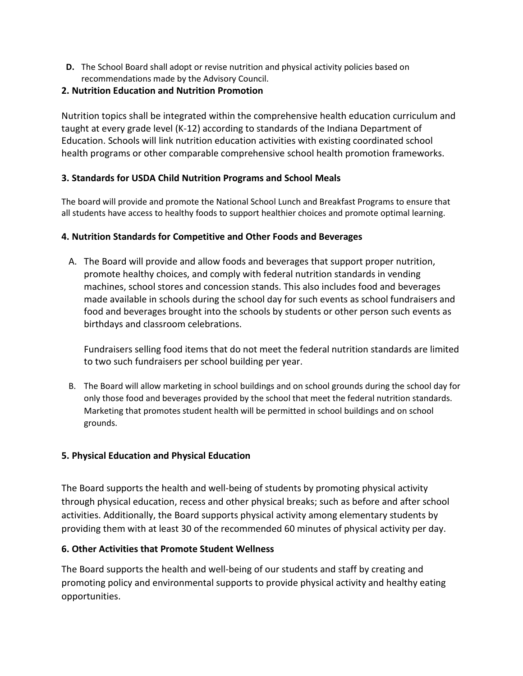**D.** The School Board shall adopt or revise nutrition and physical activity policies based on recommendations made by the Advisory Council.

#### **2. Nutrition Education and Nutrition Promotion**

Nutrition topics shall be integrated within the comprehensive health education curriculum and taught at every grade level (K-12) according to standards of the Indiana Department of Education. Schools will link nutrition education activities with existing coordinated school health programs or other comparable comprehensive school health promotion frameworks.

## **3. Standards for USDA Child Nutrition Programs and School Meals**

The board will provide and promote the National School Lunch and Breakfast Programs to ensure that all students have access to healthy foods to support healthier choices and promote optimal learning.

## **4. Nutrition Standards for Competitive and Other Foods and Beverages**

A. The Board will provide and allow foods and beverages that support proper nutrition, promote healthy choices, and comply with federal nutrition standards in vending machines, school stores and concession stands. This also includes food and beverages made available in schools during the school day for such events as school fundraisers and food and beverages brought into the schools by students or other person such events as birthdays and classroom celebrations.

Fundraisers selling food items that do not meet the federal nutrition standards are limited to two such fundraisers per school building per year.

B. The Board will allow marketing in school buildings and on school grounds during the school day for only those food and beverages provided by the school that meet the federal nutrition standards. Marketing that promotes student health will be permitted in school buildings and on school grounds.

## **5. Physical Education and Physical Education**

The Board supports the health and well-being of students by promoting physical activity through physical education, recess and other physical breaks; such as before and after school activities. Additionally, the Board supports physical activity among elementary students by providing them with at least 30 of the recommended 60 minutes of physical activity per day.

## **6. Other Activities that Promote Student Wellness**

The Board supports the health and well-being of our students and staff by creating and promoting policy and environmental supports to provide physical activity and healthy eating opportunities.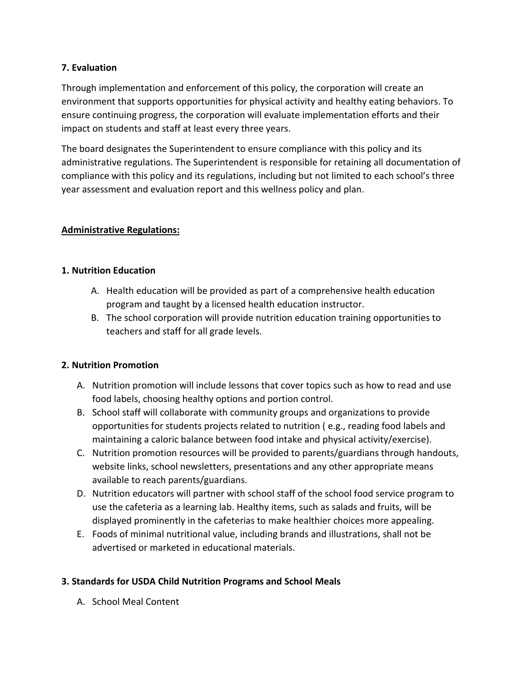#### **7. Evaluation**

Through implementation and enforcement of this policy, the corporation will create an environment that supports opportunities for physical activity and healthy eating behaviors. To ensure continuing progress, the corporation will evaluate implementation efforts and their impact on students and staff at least every three years.

The board designates the Superintendent to ensure compliance with this policy and its administrative regulations. The Superintendent is responsible for retaining all documentation of compliance with this policy and its regulations, including but not limited to each school's three year assessment and evaluation report and this wellness policy and plan.

## **Administrative Regulations:**

#### **1. Nutrition Education**

- A. Health education will be provided as part of a comprehensive health education program and taught by a licensed health education instructor.
- B. The school corporation will provide nutrition education training opportunities to teachers and staff for all grade levels.

#### **2. Nutrition Promotion**

- A. Nutrition promotion will include lessons that cover topics such as how to read and use food labels, choosing healthy options and portion control.
- B. School staff will collaborate with community groups and organizations to provide opportunities for students projects related to nutrition ( e.g., reading food labels and maintaining a caloric balance between food intake and physical activity/exercise).
- C. Nutrition promotion resources will be provided to parents/guardians through handouts, website links, school newsletters, presentations and any other appropriate means available to reach parents/guardians.
- D. Nutrition educators will partner with school staff of the school food service program to use the cafeteria as a learning lab. Healthy items, such as salads and fruits, will be displayed prominently in the cafeterias to make healthier choices more appealing.
- E. Foods of minimal nutritional value, including brands and illustrations, shall not be advertised or marketed in educational materials.

## **3. Standards for USDA Child Nutrition Programs and School Meals**

A. School Meal Content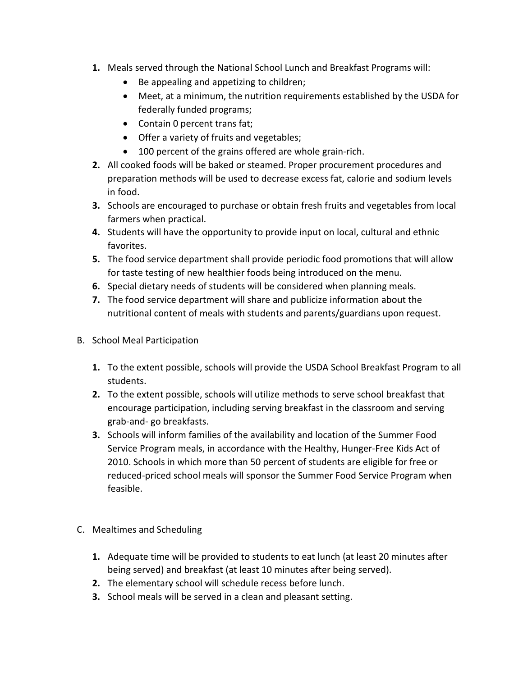- **1.** Meals served through the National School Lunch and Breakfast Programs will:
	- Be appealing and appetizing to children;
	- Meet, at a minimum, the nutrition requirements established by the USDA for federally funded programs;
	- Contain 0 percent trans fat;
	- Offer a variety of fruits and vegetables;
	- 100 percent of the grains offered are whole grain-rich.
- **2.** All cooked foods will be baked or steamed. Proper procurement procedures and preparation methods will be used to decrease excess fat, calorie and sodium levels in food.
- **3.** Schools are encouraged to purchase or obtain fresh fruits and vegetables from local farmers when practical.
- **4.** Students will have the opportunity to provide input on local, cultural and ethnic favorites.
- **5.** The food service department shall provide periodic food promotions that will allow for taste testing of new healthier foods being introduced on the menu.
- **6.** Special dietary needs of students will be considered when planning meals.
- **7.** The food service department will share and publicize information about the nutritional content of meals with students and parents/guardians upon request.
- B. School Meal Participation
	- **1.** To the extent possible, schools will provide the USDA School Breakfast Program to all students.
	- **2.** To the extent possible, schools will utilize methods to serve school breakfast that encourage participation, including serving breakfast in the classroom and serving grab-and- go breakfasts.
	- **3.** Schools will inform families of the availability and location of the Summer Food Service Program meals, in accordance with the Healthy, Hunger-Free Kids Act of 2010. Schools in which more than 50 percent of students are eligible for free or reduced-priced school meals will sponsor the Summer Food Service Program when feasible.
- C. Mealtimes and Scheduling
	- **1.** Adequate time will be provided to students to eat lunch (at least 20 minutes after being served) and breakfast (at least 10 minutes after being served).
	- **2.** The elementary school will schedule recess before lunch.
	- **3.** School meals will be served in a clean and pleasant setting.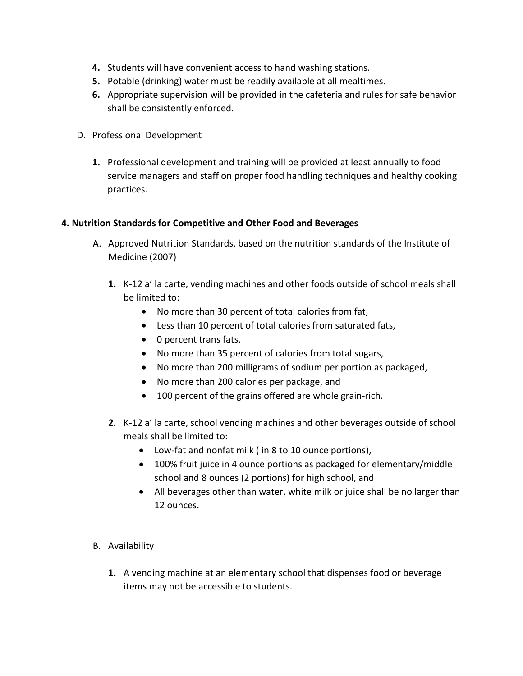- **4.** Students will have convenient access to hand washing stations.
- **5.** Potable (drinking) water must be readily available at all mealtimes.
- **6.** Appropriate supervision will be provided in the cafeteria and rules for safe behavior shall be consistently enforced.
- D. Professional Development
	- **1.** Professional development and training will be provided at least annually to food service managers and staff on proper food handling techniques and healthy cooking practices.

## **4. Nutrition Standards for Competitive and Other Food and Beverages**

- A. Approved Nutrition Standards, based on the nutrition standards of the Institute of Medicine (2007)
	- **1.** K-12 a' la carte, vending machines and other foods outside of school meals shall be limited to:
		- No more than 30 percent of total calories from fat,
		- Less than 10 percent of total calories from saturated fats,
		- 0 percent trans fats,
		- No more than 35 percent of calories from total sugars,
		- No more than 200 milligrams of sodium per portion as packaged,
		- No more than 200 calories per package, and
		- 100 percent of the grains offered are whole grain-rich.
	- **2.** K-12 a' la carte, school vending machines and other beverages outside of school meals shall be limited to:
		- Low-fat and nonfat milk ( in 8 to 10 ounce portions),
		- 100% fruit juice in 4 ounce portions as packaged for elementary/middle school and 8 ounces (2 portions) for high school, and
		- All beverages other than water, white milk or juice shall be no larger than 12 ounces.
- B. Availability
	- **1.** A vending machine at an elementary school that dispenses food or beverage items may not be accessible to students.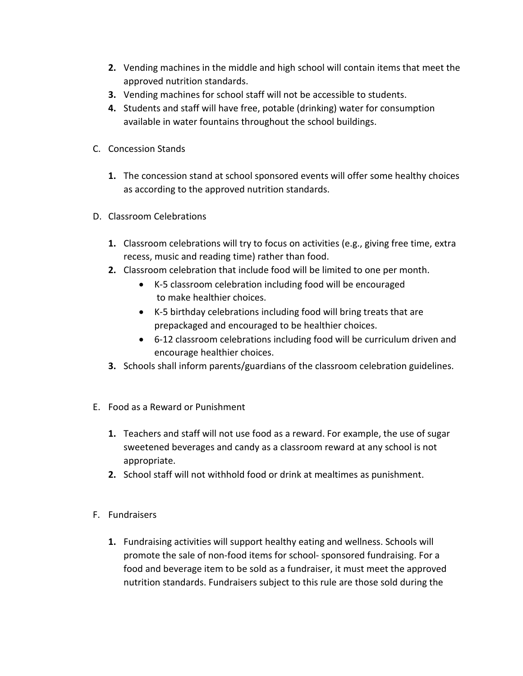- **2.** Vending machines in the middle and high school will contain items that meet the approved nutrition standards.
- **3.** Vending machines for school staff will not be accessible to students.
- **4.** Students and staff will have free, potable (drinking) water for consumption available in water fountains throughout the school buildings.
- C. Concession Stands
	- **1.** The concession stand at school sponsored events will offer some healthy choices as according to the approved nutrition standards.
- D. Classroom Celebrations
	- **1.** Classroom celebrations will try to focus on activities (e.g., giving free time, extra recess, music and reading time) rather than food.
	- **2.** Classroom celebration that include food will be limited to one per month.
		- K-5 classroom celebration including food will be encouraged to make healthier choices.
		- K-5 birthday celebrations including food will bring treats that are prepackaged and encouraged to be healthier choices.
		- 6-12 classroom celebrations including food will be curriculum driven and encourage healthier choices.
	- **3.** Schools shall inform parents/guardians of the classroom celebration guidelines.
- E. Food as a Reward or Punishment
	- **1.** Teachers and staff will not use food as a reward. For example, the use of sugar sweetened beverages and candy as a classroom reward at any school is not appropriate.
	- **2.** School staff will not withhold food or drink at mealtimes as punishment.
- F. Fundraisers
	- **1.** Fundraising activities will support healthy eating and wellness. Schools will promote the sale of non-food items for school- sponsored fundraising. For a food and beverage item to be sold as a fundraiser, it must meet the approved nutrition standards. Fundraisers subject to this rule are those sold during the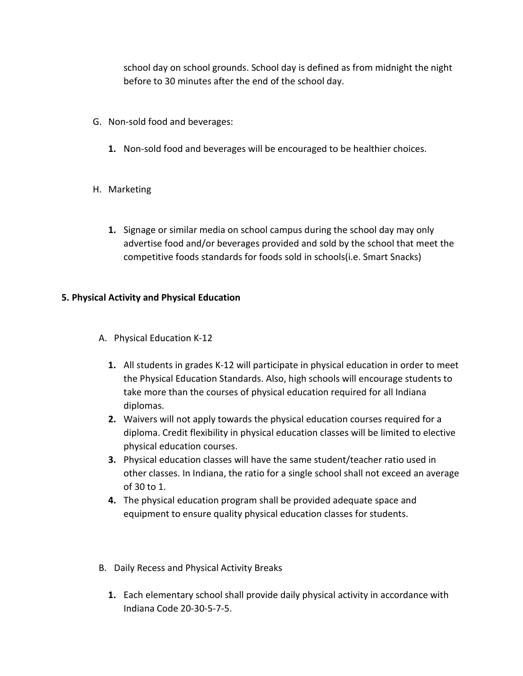school day on school grounds. School day is defined as from midnight the night before to 30 minutes after the end of the school day.

- G. Non-sold food and beverages:
	- **1.** Non-sold food and beverages will be encouraged to be healthier choices.
- H. Marketing
	- **1.** Signage or similar media on school campus during the school day may only advertise food and/or beverages provided and sold by the school that meet the competitive foods standards for foods sold in schools(i.e. Smart Snacks)

## **5. Physical Activity and Physical Education**

- A. Physical Education K-12
	- **1.** All students in grades K-12 will participate in physical education in order to meet the Physical Education Standards. Also, high schools will encourage students to take more than the courses of physical education required for all Indiana diplomas.
	- **2.** Waivers will not apply towards the physical education courses required for a diploma. Credit flexibility in physical education classes will be limited to elective physical education courses.
	- **3.** Physical education classes will have the same student/teacher ratio used in other classes. In Indiana, the ratio for a single school shall not exceed an average of 30 to 1.
	- **4.** The physical education program shall be provided adequate space and equipment to ensure quality physical education classes for students.
- B. Daily Recess and Physical Activity Breaks
	- **1.** Each elementary school shall provide daily physical activity in accordance with Indiana Code 20-30-5-7-5.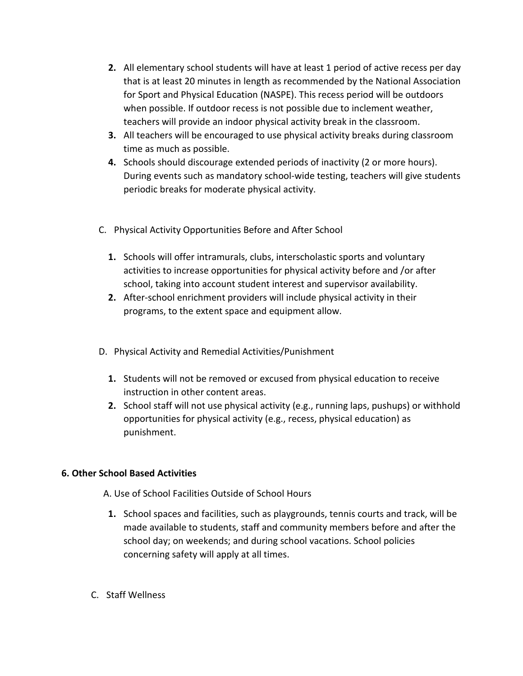- **2.** All elementary school students will have at least 1 period of active recess per day that is at least 20 minutes in length as recommended by the National Association for Sport and Physical Education (NASPE). This recess period will be outdoors when possible. If outdoor recess is not possible due to inclement weather, teachers will provide an indoor physical activity break in the classroom.
- **3.** All teachers will be encouraged to use physical activity breaks during classroom time as much as possible.
- **4.** Schools should discourage extended periods of inactivity (2 or more hours). During events such as mandatory school-wide testing, teachers will give students periodic breaks for moderate physical activity.
- C. Physical Activity Opportunities Before and After School
	- **1.** Schools will offer intramurals, clubs, interscholastic sports and voluntary activities to increase opportunities for physical activity before and /or after school, taking into account student interest and supervisor availability.
	- **2.** After-school enrichment providers will include physical activity in their programs, to the extent space and equipment allow.
- D. Physical Activity and Remedial Activities/Punishment
	- **1.** Students will not be removed or excused from physical education to receive instruction in other content areas.
	- **2.** School staff will not use physical activity (e.g., running laps, pushups) or withhold opportunities for physical activity (e.g., recess, physical education) as punishment.

## **6. Other School Based Activities**

- A. Use of School Facilities Outside of School Hours
	- **1.** School spaces and facilities, such as playgrounds, tennis courts and track, will be made available to students, staff and community members before and after the school day; on weekends; and during school vacations. School policies concerning safety will apply at all times.
- C. Staff Wellness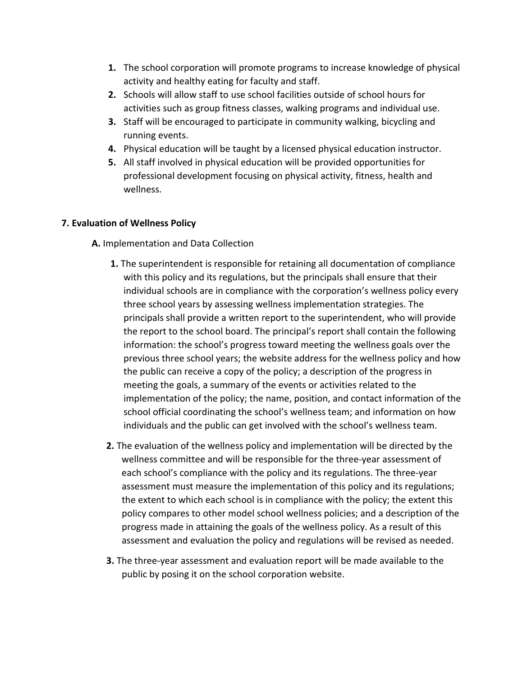- **1.** The school corporation will promote programs to increase knowledge of physical activity and healthy eating for faculty and staff.
- **2.** Schools will allow staff to use school facilities outside of school hours for activities such as group fitness classes, walking programs and individual use.
- **3.** Staff will be encouraged to participate in community walking, bicycling and running events.
- **4.** Physical education will be taught by a licensed physical education instructor.
- **5.** All staff involved in physical education will be provided opportunities for professional development focusing on physical activity, fitness, health and wellness.

## **7. Evaluation of Wellness Policy**

- **A.** Implementation and Data Collection
	- **1.** The superintendent is responsible for retaining all documentation of compliance with this policy and its regulations, but the principals shall ensure that their individual schools are in compliance with the corporation's wellness policy every three school years by assessing wellness implementation strategies. The principals shall provide a written report to the superintendent, who will provide the report to the school board. The principal's report shall contain the following information: the school's progress toward meeting the wellness goals over the previous three school years; the website address for the wellness policy and how the public can receive a copy of the policy; a description of the progress in meeting the goals, a summary of the events or activities related to the implementation of the policy; the name, position, and contact information of the school official coordinating the school's wellness team; and information on how individuals and the public can get involved with the school's wellness team.
	- **2.** The evaluation of the wellness policy and implementation will be directed by the wellness committee and will be responsible for the three-year assessment of each school's compliance with the policy and its regulations. The three-year assessment must measure the implementation of this policy and its regulations; the extent to which each school is in compliance with the policy; the extent this policy compares to other model school wellness policies; and a description of the progress made in attaining the goals of the wellness policy. As a result of this assessment and evaluation the policy and regulations will be revised as needed.
	- **3.** The three-year assessment and evaluation report will be made available to the public by posing it on the school corporation website.